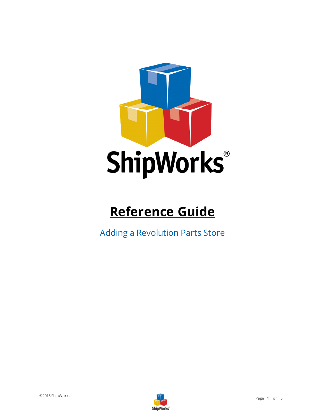

# **Reference Guide**

Adding a Revolution Parts Store

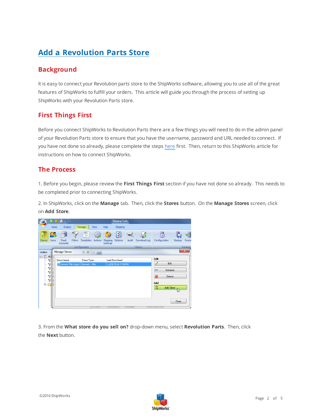## **Add a Revolution Parts Store**

## **Background**

It is easy to connect your Revolution parts store to the ShipWorks software, allowing you to use all of the great features of ShipWorks to fulfill your orders. This article will guide you through the process of setting up ShipWorks with your Revolution Parts store.

### **First Things First**

Before you connect ShipWorks to Revolution Parts there are a few things you will need to do in the admin panel of your Revolution Parts store to ensure that you have the username, password and URL needed to connect. If you have not done so already, please complete the steps [here](https://support.revolutionparts.com/hc/en-us/articles/201541709-How-to-set-up-ShipWorks) first. Then, return to this ShipWorks article for instructions on how to connect ShipWorks.

#### **The Process**

1. Before you begin, please review the **First Things First** section if you have not done so already. This needs to be completed prior to connecting ShipWorks.

2. In ShipWorks, click on the **Manage** tab. Then, click the **Stores** button. On the **Manage Stores** screen, click on **Add Store**.



3. From the **What store do you sell on?** drop-down menu, select **Revolution Parts**. Then, click the **Next** button.

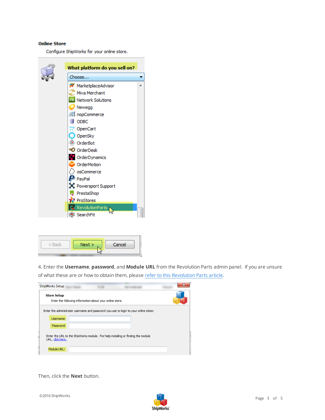#### **Online Store**

Configure ShipWorks for your online store.





4. Enter the **Username**, **password**, and **Module URL** from the Revolution Parts admin panel. If you are unsure of what these are or how to obtain them, please refer to this [Revolution](https://support.revolutionparts.com/hc/en-us/articles/201541709-How-to-set-up-ShipWorks) Parts article.

| <b>ShipWorks Setup</b> |                                                          |                                                                                      | $\overline{\mathbf{X}}$ |
|------------------------|----------------------------------------------------------|--------------------------------------------------------------------------------------|-------------------------|
| <b>Store Setup</b>     | Enter the following information about your online store. |                                                                                      |                         |
|                        |                                                          | Enter the administrator username and password you use to login to your online store: |                         |
| Username:              |                                                          |                                                                                      |                         |
| Password:              |                                                          |                                                                                      |                         |
| URL, click here.       |                                                          | Enter the URL to the ShipWorks module. For help installing or finding the module     |                         |
| Module URL:            |                                                          |                                                                                      |                         |

Then, click the **Next** button.

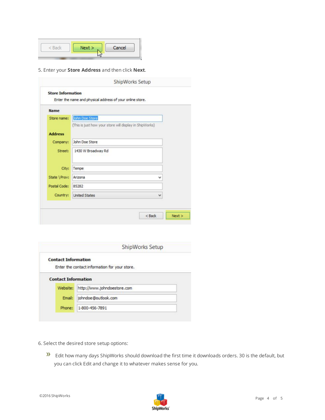| Nev | Cancel |
|-----|--------|
|     |        |

5. Enter your **Store Address** and then click **Next**.

| <b>Contact Information</b> |                                               |
|----------------------------|-----------------------------------------------|
|                            | Enter the contact information for your store. |
| <b>Contact Information</b> |                                               |
| Website:                   | http://www.johndoestore.com                   |
| Email:                     | johndoe@outlook.com                           |
| Phone:                     | 1-800-456-7891                                |

- 6. Select the desired store setup options:
	- **Edit how many days ShipWorks should download the first time it downloads orders. 30 is the default, but** you can click Edit and change it to whatever makes sense for you.